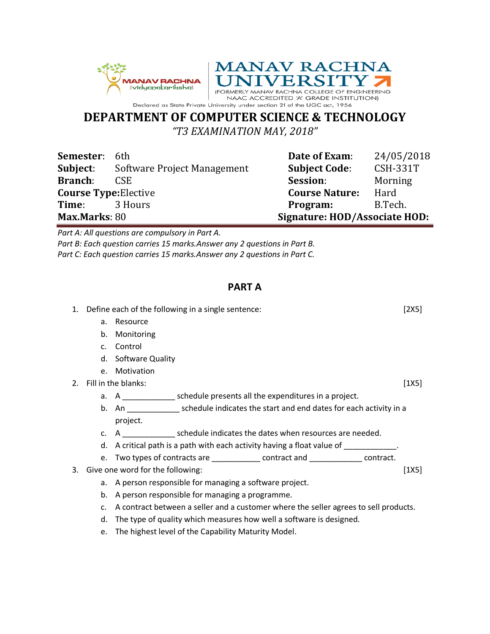



## **DEPARTMENT OF COMPUTER SCIENCE & TECHNOLOGY**

*"T3 EXAMINATION MAY, 2018"*

| Semester:                    | 6th                         | Date of Exam:                 | 24/05/2018      |
|------------------------------|-----------------------------|-------------------------------|-----------------|
| Subject:                     | Software Project Management | <b>Subject Code:</b>          | <b>CSH-331T</b> |
| <b>Branch:</b>               | CSE.                        | Session:                      | Morning         |
| <b>Course Type: Elective</b> |                             | <b>Course Nature:</b>         | Hard            |
| Time:                        | 3 Hours                     | Program:                      | B.Tech.         |
| Max.Marks: 80                |                             | Signature: HOD/Associate HOD: |                 |

*Part A: All questions are compulsory in Part A.*

*Part B: Each question carries 15 marks.Answer any 2 questions in Part B. Part C: Each question carries 15 marks.Answer any 2 questions in Part C.*

## **PART A**

|    |        | 1. Define each of the following in a single sentence:<br>[2X5]                       |       |  |
|----|--------|--------------------------------------------------------------------------------------|-------|--|
|    | a.     | Resource                                                                             |       |  |
|    | b.     | Monitoring                                                                           |       |  |
|    | c.     | Control                                                                              |       |  |
|    | d.     | Software Quality                                                                     |       |  |
|    | e.     | Motivation                                                                           |       |  |
| 2. |        | Fill in the blanks:                                                                  | [1X5] |  |
|    |        | a. A ________________ schedule presents all the expenditures in a project.           |       |  |
|    |        | b. An schedule indicates the start and end dates for each activity in a              |       |  |
|    |        | project.                                                                             |       |  |
|    |        | c. A schedule indicates the dates when resources are needed.                         |       |  |
|    | d.     | A critical path is a path with each activity having a float value of                 |       |  |
|    |        | e. Two types of contracts are _____________ contract and _____________ contract.     |       |  |
| 3. |        | Give one word for the following:                                                     | [1X5] |  |
|    | а.     | A person responsible for managing a software project.                                |       |  |
|    | b.     | A person responsible for managing a programme.                                       |       |  |
|    | C.     | A contract between a seller and a customer where the seller agrees to sell products. |       |  |
|    | d.     | The type of quality which measures how well a software is designed.                  |       |  |
|    | $\sim$ | The highest level of the Canability Maturity Model                                   |       |  |

e. The highest level of the Capability Maturity Model.